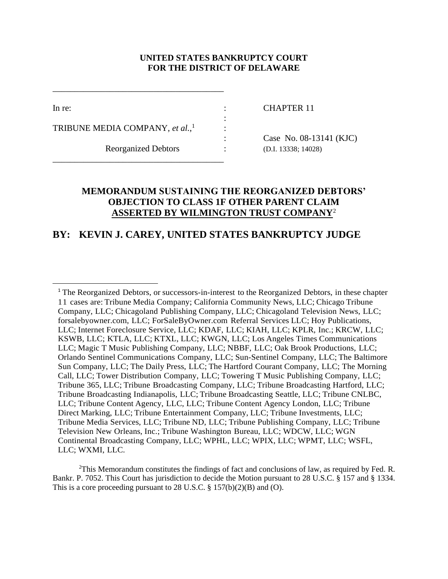## **UNITED STATES BANKRUPTCY COURT FOR THE DISTRICT OF DELAWARE**

:

:

 $\overline{\phantom{a}}$ 

In re: CHAPTER 11

TRIBUNE MEDIA COMPANY, *et al.*, 1

\_\_\_\_\_\_\_\_\_\_\_\_\_\_\_\_\_\_\_\_\_\_\_\_\_\_\_\_\_\_\_\_\_\_\_\_\_\_\_

\_\_\_\_\_\_\_\_\_\_\_\_\_\_\_\_\_\_\_\_\_\_\_\_\_\_\_\_\_\_\_\_\_\_\_\_\_\_\_

Reorganized Debtors : (D.I. 13338; 14028)

: Case No. 08-13141 (KJC)

## **MEMORANDUM SUSTAINING THE REORGANIZED DEBTORS' OBJECTION TO CLASS 1F OTHER PARENT CLAIM ASSERTED BY WILMINGTON TRUST COMPANY**<sup>2</sup>

# **BY: KEVIN J. CAREY, UNITED STATES BANKRUPTCY JUDGE**

<sup>2</sup>This Memorandum constitutes the findings of fact and conclusions of law, as required by Fed. R. Bankr. P. 7052. This Court has jurisdiction to decide the Motion pursuant to 28 U.S.C. § 157 and § 1334. This is a core proceeding pursuant to 28 U.S.C.  $\S 157(b)(2)(B)$  and (O).

<sup>&</sup>lt;sup>1</sup> The Reorganized Debtors, or successors-in-interest to the Reorganized Debtors, in these chapter 11 cases are: Tribune Media Company; California Community News, LLC; Chicago Tribune Company, LLC; Chicagoland Publishing Company, LLC; Chicagoland Television News, LLC; forsalebyowner.com, LLC; ForSaleByOwner.com Referral Services LLC; Hoy Publications, LLC; Internet Foreclosure Service, LLC; KDAF, LLC; KIAH, LLC; KPLR, Inc.; KRCW, LLC; KSWB, LLC; KTLA, LLC; KTXL, LLC; KWGN, LLC; Los Angeles Times Communications LLC; Magic T Music Publishing Company, LLC; NBBF, LLC; Oak Brook Productions, LLC; Orlando Sentinel Communications Company, LLC; Sun-Sentinel Company, LLC; The Baltimore Sun Company, LLC; The Daily Press, LLC; The Hartford Courant Company, LLC; The Morning Call, LLC; Tower Distribution Company, LLC; Towering T Music Publishing Company, LLC; Tribune 365, LLC; Tribune Broadcasting Company, LLC; Tribune Broadcasting Hartford, LLC; Tribune Broadcasting Indianapolis, LLC; Tribune Broadcasting Seattle, LLC; Tribune CNLBC, LLC; Tribune Content Agency, LLC, LLC; Tribune Content Agency London, LLC; Tribune Direct Marking, LLC; Tribune Entertainment Company, LLC; Tribune Investments, LLC; Tribune Media Services, LLC; Tribune ND, LLC; Tribune Publishing Company, LLC; Tribune Television New Orleans, Inc.; Tribune Washington Bureau, LLC; WDCW, LLC; WGN Continental Broadcasting Company, LLC; WPHL, LLC; WPIX, LLC; WPMT, LLC; WSFL, LLC; WXMI, LLC.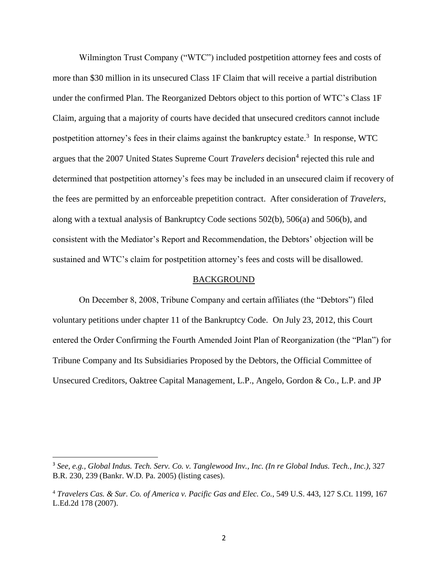Wilmington Trust Company ("WTC") included postpetition attorney fees and costs of more than \$30 million in its unsecured Class 1F Claim that will receive a partial distribution under the confirmed Plan. The Reorganized Debtors object to this portion of WTC's Class 1F Claim, arguing that a majority of courts have decided that unsecured creditors cannot include postpetition attorney's fees in their claims against the bankruptcy estate.<sup>3</sup> In response, WTC argues that the 2007 United States Supreme Court *Travelers* decision<sup>4</sup> rejected this rule and determined that postpetition attorney's fees may be included in an unsecured claim if recovery of the fees are permitted by an enforceable prepetition contract. After consideration of *Travelers*, along with a textual analysis of Bankruptcy Code sections 502(b), 506(a) and 506(b), and consistent with the Mediator's Report and Recommendation, the Debtors' objection will be sustained and WTC's claim for postpetition attorney's fees and costs will be disallowed.

### BACKGROUND

On December 8, 2008, Tribune Company and certain affiliates (the "Debtors") filed voluntary petitions under chapter 11 of the Bankruptcy Code. On July 23, 2012, this Court entered the Order Confirming the Fourth Amended Joint Plan of Reorganization (the "Plan") for Tribune Company and Its Subsidiaries Proposed by the Debtors, the Official Committee of Unsecured Creditors, Oaktree Capital Management, L.P., Angelo, Gordon & Co., L.P. and JP

 $\overline{a}$ 

<sup>3</sup> *See, e.g., Global Indus. Tech. Serv. Co. v. Tanglewood Inv., Inc. (In re Global Indus. Tech., Inc.),* 327 B.R. 230, 239 (Bankr. W.D. Pa. 2005) (listing cases).

<sup>4</sup> *Travelers Cas. & Sur. Co. of America v. Pacific Gas and Elec. Co.*, 549 U.S. 443, 127 S.Ct. 1199, 167 L.Ed.2d 178 (2007).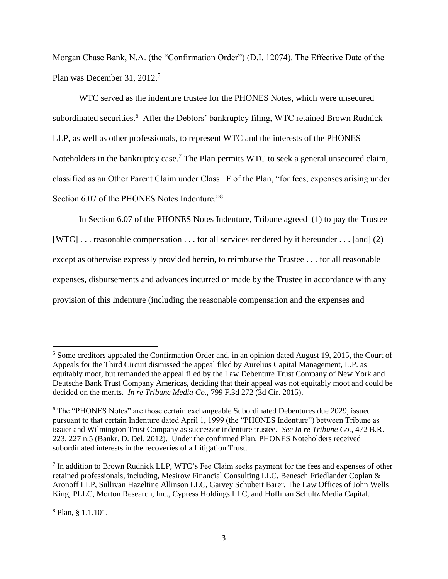Morgan Chase Bank, N.A. (the "Confirmation Order") (D.I. 12074). The Effective Date of the Plan was December 31,  $2012<sup>5</sup>$ 

WTC served as the indenture trustee for the PHONES Notes, which were unsecured subordinated securities.<sup>6</sup> After the Debtors' bankruptcy filing, WTC retained Brown Rudnick LLP, as well as other professionals, to represent WTC and the interests of the PHONES Noteholders in the bankruptcy case.<sup>7</sup> The Plan permits WTC to seek a general unsecured claim, classified as an Other Parent Claim under Class 1F of the Plan, "for fees, expenses arising under Section 6.07 of the PHONES Notes Indenture."<sup>8</sup>

In Section 6.07 of the PHONES Notes Indenture, Tribune agreed (1) to pay the Trustee [WTC] . . . reasonable compensation . . . for all services rendered by it hereunder . . . [and] (2) except as otherwise expressly provided herein, to reimburse the Trustee . . . for all reasonable expenses, disbursements and advances incurred or made by the Trustee in accordance with any provision of this Indenture (including the reasonable compensation and the expenses and

<sup>5</sup> Some creditors appealed the Confirmation Order and, in an opinion dated August 19, 2015, the Court of Appeals for the Third Circuit dismissed the appeal filed by Aurelius Capital Management, L.P. as equitably moot, but remanded the appeal filed by the Law Debenture Trust Company of New York and Deutsche Bank Trust Company Americas, deciding that their appeal was not equitably moot and could be decided on the merits. *In re Tribune Media Co.,* 799 F.3d 272 (3d Cir. 2015).

<sup>6</sup> The "PHONES Notes" are those certain exchangeable Subordinated Debentures due 2029, issued pursuant to that certain Indenture dated April 1, 1999 (the "PHONES Indenture") between Tribune as issuer and Wilmington Trust Company as successor indenture trustee. *See In re Tribune Co.,* 472 B.R. 223, 227 n.5 (Bankr. D. Del. 2012). Under the confirmed Plan, PHONES Noteholders received subordinated interests in the recoveries of a Litigation Trust.

 $<sup>7</sup>$  In addition to Brown Rudnick LLP, WTC's Fee Claim seeks payment for the fees and expenses of other</sup> retained professionals, including, Mesirow Financial Consulting LLC, Benesch Friedlander Coplan & Aronoff LLP, Sullivan Hazeltine Allinson LLC, Garvey Schubert Barer, The Law Offices of John Wells King, PLLC, Morton Research, Inc., Cypress Holdings LLC, and Hoffman Schultz Media Capital.

<sup>8</sup> Plan, § 1.1.101.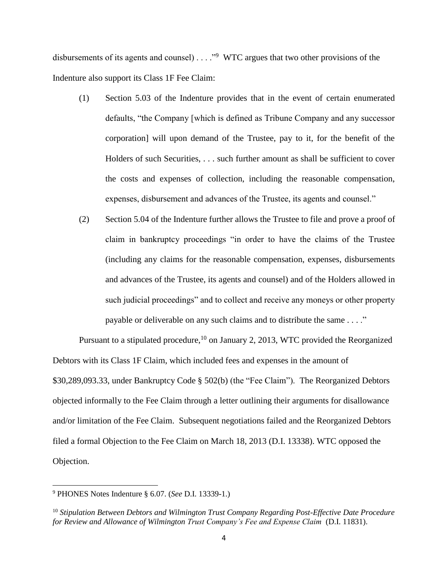disbursements of its agents and counsel)  $\ldots$  <sup>39</sup> WTC argues that two other provisions of the Indenture also support its Class 1F Fee Claim:

- (1) Section 5.03 of the Indenture provides that in the event of certain enumerated defaults, "the Company [which is defined as Tribune Company and any successor corporation] will upon demand of the Trustee, pay to it, for the benefit of the Holders of such Securities, . . . such further amount as shall be sufficient to cover the costs and expenses of collection, including the reasonable compensation, expenses, disbursement and advances of the Trustee, its agents and counsel."
- (2) Section 5.04 of the Indenture further allows the Trustee to file and prove a proof of claim in bankruptcy proceedings "in order to have the claims of the Trustee (including any claims for the reasonable compensation, expenses, disbursements and advances of the Trustee, its agents and counsel) and of the Holders allowed in such judicial proceedings" and to collect and receive any moneys or other property payable or deliverable on any such claims and to distribute the same . . . ."

Pursuant to a stipulated procedure,<sup>10</sup> on January 2, 2013, WTC provided the Reorganized Debtors with its Class 1F Claim, which included fees and expenses in the amount of \$30,289,093.33, under Bankruptcy Code § 502(b) (the "Fee Claim"). The Reorganized Debtors objected informally to the Fee Claim through a letter outlining their arguments for disallowance and/or limitation of the Fee Claim. Subsequent negotiations failed and the Reorganized Debtors filed a formal Objection to the Fee Claim on March 18, 2013 (D.I. 13338). WTC opposed the Objection.

<sup>9</sup> PHONES Notes Indenture § 6.07. (*See* D.I. 13339-1.)

<sup>10</sup> *Stipulation Between Debtors and Wilmington Trust Company Regarding Post-Effective Date Procedure for Review and Allowance of Wilmington Trust Company's Fee and Expense Claim* (D.I. 11831).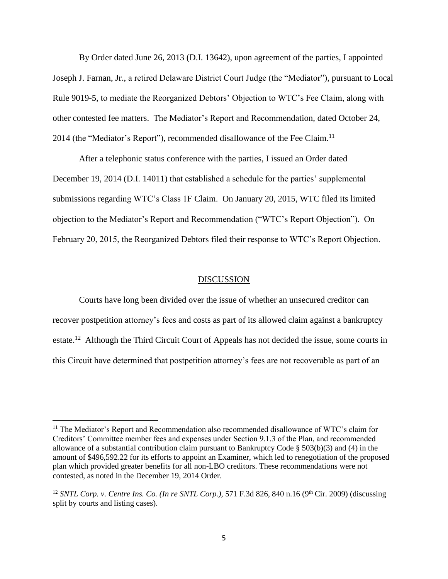By Order dated June 26, 2013 (D.I. 13642), upon agreement of the parties, I appointed Joseph J. Farnan, Jr., a retired Delaware District Court Judge (the "Mediator"), pursuant to Local Rule 9019-5, to mediate the Reorganized Debtors' Objection to WTC's Fee Claim, along with other contested fee matters. The Mediator's Report and Recommendation, dated October 24, 2014 (the "Mediator's Report"), recommended disallowance of the Fee Claim.<sup>11</sup>

After a telephonic status conference with the parties, I issued an Order dated December 19, 2014 (D.I. 14011) that established a schedule for the parties' supplemental submissions regarding WTC's Class 1F Claim. On January 20, 2015, WTC filed its limited objection to the Mediator's Report and Recommendation ("WTC's Report Objection"). On February 20, 2015, the Reorganized Debtors filed their response to WTC's Report Objection.

#### DISCUSSION

Courts have long been divided over the issue of whether an unsecured creditor can recover postpetition attorney's fees and costs as part of its allowed claim against a bankruptcy estate.<sup>12</sup> Although the Third Circuit Court of Appeals has not decided the issue, some courts in this Circuit have determined that postpetition attorney's fees are not recoverable as part of an

<sup>&</sup>lt;sup>11</sup> The Mediator's Report and Recommendation also recommended disallowance of WTC's claim for Creditors' Committee member fees and expenses under Section 9.1.3 of the Plan, and recommended allowance of a substantial contribution claim pursuant to Bankruptcy Code § 503(b)(3) and (4) in the amount of \$496,592.22 for its efforts to appoint an Examiner, which led to renegotiation of the proposed plan which provided greater benefits for all non-LBO creditors. These recommendations were not contested, as noted in the December 19, 2014 Order.

<sup>&</sup>lt;sup>12</sup> *SNTL Corp. v. Centre Ins. Co. (In re SNTL Corp.),* 571 F.3d 826, 840 n.16 (9<sup>th</sup> Cir. 2009) (discussing split by courts and listing cases).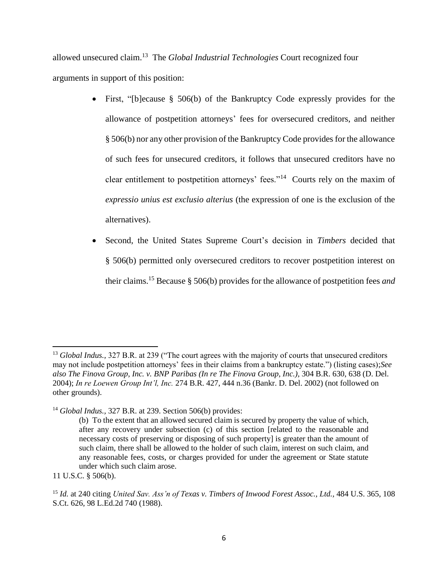allowed unsecured claim.<sup>13</sup> The *Global Industrial Technologies* Court recognized four arguments in support of this position:

- First, "[b]ecause § 506(b) of the Bankruptcy Code expressly provides for the allowance of postpetition attorneys' fees for oversecured creditors, and neither § 506(b) nor any other provision of the Bankruptcy Code provides for the allowance of such fees for unsecured creditors, it follows that unsecured creditors have no clear entitlement to postpetition attorneys' fees."<sup>14</sup> Courts rely on the maxim of *expressio unius est exclusio alterius* (the expression of one is the exclusion of the alternatives).
- Second, the United States Supreme Court's decision in *Timbers* decided that § 506(b) permitted only oversecured creditors to recover postpetition interest on their claims.<sup>15</sup> Because § 506(b) provides for the allowance of postpetition fees *and*

<sup>&</sup>lt;sup>13</sup> *Global Indus.*, 327 B.R. at 239 ("The court agrees with the majority of courts that unsecured creditors may not include postpetition attorneys' fees in their claims from a bankruptcy estate.") (listing cases);*See also The Finova Group, Inc. v. BNP Paribas (In re The Finova Group, Inc.),* 304 B.R. 630, 638 (D. Del. 2004); *In re Loewen Group Int'l, Inc.* 274 B.R. 427, 444 n.36 (Bankr. D. Del. 2002) (not followed on other grounds).

<sup>14</sup> *Global Indus.,* 327 B.R. at 239. Section 506(b) provides:

<sup>(</sup>b) To the extent that an allowed secured claim is secured by property the value of which, after any recovery under subsection (c) of this section [related to the reasonable and necessary costs of preserving or disposing of such property] is greater than the amount of such claim, there shall be allowed to the holder of such claim, interest on such claim, and any reasonable fees, costs, or charges provided for under the agreement or State statute under which such claim arose.

<sup>11</sup> U.S.C. § 506(b).

<sup>15</sup> *Id.* at 240 citing *United Sav. Ass'n of Texas v. Timbers of Inwood Forest Assoc., Ltd.,* 484 U.S. 365, 108 S.Ct. 626, 98 L.Ed.2d 740 (1988).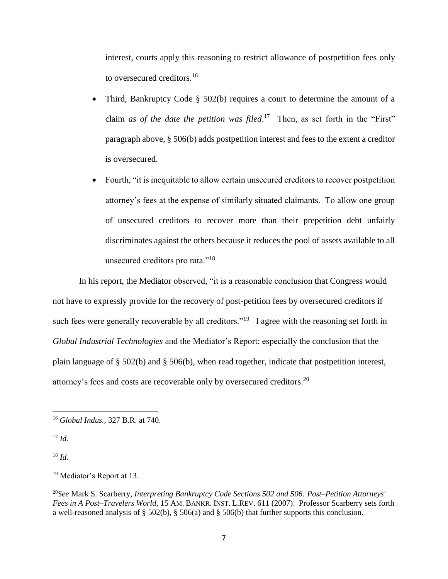interest, courts apply this reasoning to restrict allowance of postpetition fees only to oversecured creditors.<sup>16</sup>

- Third, Bankruptcy Code § 502(b) requires a court to determine the amount of a claim *as of the date the petition was filed*.<sup>17</sup> Then, as set forth in the "First" paragraph above, § 506(b) adds postpetition interest and fees to the extent a creditor is oversecured.
- Fourth, "it is inequitable to allow certain unsecured creditors to recover postpetition attorney's fees at the expense of similarly situated claimants. To allow one group of unsecured creditors to recover more than their prepetition debt unfairly discriminates against the others because it reduces the pool of assets available to all unsecured creditors pro rata."<sup>18</sup>

In his report, the Mediator observed, "it is a reasonable conclusion that Congress would not have to expressly provide for the recovery of post-petition fees by oversecured creditors if such fees were generally recoverable by all creditors."<sup>19</sup> I agree with the reasoning set forth in *Global Industrial Technologies* and the Mediator's Report; especially the conclusion that the plain language of § 502(b) and § 506(b), when read together, indicate that postpetition interest, attorney's fees and costs are recoverable only by oversecured creditors.<sup>20</sup>

l

<sup>18</sup> *Id.*

<sup>19</sup> Mediator's Report at 13.

<sup>20</sup>*See* Mark S. Scarberry, *Interpreting Bankruptcy Code Sections 502 and 506: Post–Petition Attorneys' Fees in A Post–Travelers World,* 15 AM. BANKR. INST. L.REV. 611 (2007). Professor Scarberry sets forth a well-reasoned analysis of § 502(b), § 506(a) and § 506(b) that further supports this conclusion.

<sup>16</sup> *Global Indus.,* 327 B.R. at 740.

 $17$  *Id.*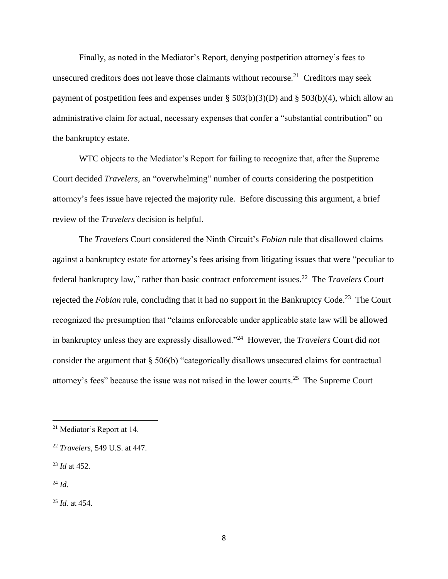Finally, as noted in the Mediator's Report, denying postpetition attorney's fees to unsecured creditors does not leave those claimants without recourse.<sup>21</sup> Creditors may seek payment of postpetition fees and expenses under  $\S 503(b)(3)(D)$  and  $\S 503(b)(4)$ , which allow an administrative claim for actual, necessary expenses that confer a "substantial contribution" on the bankruptcy estate.

WTC objects to the Mediator's Report for failing to recognize that, after the Supreme Court decided *Travelers*, an "overwhelming" number of courts considering the postpetition attorney's fees issue have rejected the majority rule. Before discussing this argument, a brief review of the *Travelers* decision is helpful.

The *Travelers* Court considered the Ninth Circuit's *Fobian* rule that disallowed claims against a bankruptcy estate for attorney's fees arising from litigating issues that were "peculiar to federal bankruptcy law," rather than basic contract enforcement issues.<sup>22</sup> The *Travelers* Court rejected the *Fobian* rule, concluding that it had no support in the Bankruptcy Code.<sup>23</sup> The Court recognized the presumption that "claims enforceable under applicable state law will be allowed in bankruptcy unless they are expressly disallowed."<sup>24</sup> However, the *Travelers* Court did *not* consider the argument that § 506(b) "categorically disallows unsecured claims for contractual attorney's fees" because the issue was not raised in the lower courts.<sup>25</sup> The Supreme Court

<sup>21</sup> Mediator's Report at 14.

<sup>22</sup> *Travelers,* 549 U.S. at 447.

<sup>23</sup> *Id* at 452.

<sup>24</sup> *Id.*

<sup>25</sup> *Id.* at 454.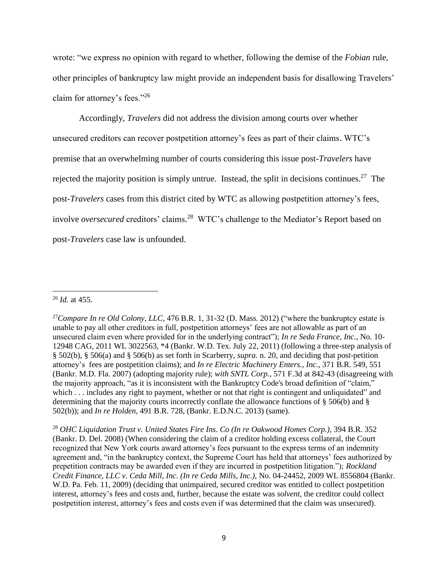wrote: "we express no opinion with regard to whether, following the demise of the *Fobian* rule, other principles of bankruptcy law might provide an independent basis for disallowing Travelers' claim for attorney's fees."<sup>26</sup>

Accordingly, *Travelers* did not address the division among courts over whether unsecured creditors can recover postpetition attorney's fees as part of their claims. WTC's premise that an overwhelming number of courts considering this issue post-*Travelers* have rejected the majority position is simply untrue. Instead, the split in decisions continues.<sup>27</sup> The post-*Travelers* cases from this district cited by WTC as allowing postpetition attorney's fees, involve *oversecured* creditors' claims. <sup>28</sup> WTC's challenge to the Mediator's Report based on post-*Travelers* case law is unfounded.

<sup>28</sup> *OHC Liquidation Trust v. United States Fire Ins. Co (In re Oakwood Homes Corp.)*, 394 B.R. 352 (Bankr. D. Del. 2008) (When considering the claim of a creditor holding excess collateral, the Court recognized that New York courts award attorney's fees pursuant to the express terms of an indemnity agreement and, "in the bankruptcy context, the Supreme Court has held that attorneys' fees authorized by prepetition contracts may be awarded even if they are incurred in postpetition litigation."); *Rockland Credit Finance, LLC v. Ceda Mill, Inc. (In re Ceda Mills, Inc.),* No. 04-24452, 2009 WL 8556804 (Bankr. W.D. Pa. Feb. 11, 2009) (deciding that unimpaired, secured creditor was entitled to collect postpetition interest, attorney's fees and costs and, further, because the estate was *solvent*, the creditor could collect postpetition interest, attorney's fees and costs even if was determined that the claim was unsecured).

 $\overline{\phantom{a}}$ <sup>26</sup> *Id.* at 455.

<sup>&</sup>lt;sup>27</sup>*Compare In re Old Colony, LLC,* 476 B.R. 1, 31-32 (D. Mass. 2012) ("where the bankruptcy estate is unable to pay all other creditors in full, postpetition attorneys' fees are not allowable as part of an unsecured claim even where provided for in the underlying contract"); *In re Seda France, Inc.,* No. 10- 12948 CAG, 2011 WL 3022563, \*4 (Bankr. W.D. Tex. July 22, 2011) (following a three-step analysis of § 502(b), § 506(a) and § 506(b) as set forth in Scarberry, *supra.* n. 20, and deciding that post-petition attorney's fees are postpetition claims); and *In re Electric Machinery Enters., Inc.,* 371 B.R. 549, 551 (Bankr. M.D. Fla. 2007) (adopting majority rule); *with SNTL Corp.,* 571 F.3d at 842-43 (disagreeing with the majority approach, "as it is inconsistent with the Bankruptcy Code's broad definition of "claim," which . . . includes any right to payment, whether or not that right is contingent and unliquidated" and determining that the majority courts incorrectly conflate the allowance functions of § 506(b) and § 502(b)); and *In re Holden,* 491 B.R. 728, (Bankr. E.D.N.C. 2013) (same).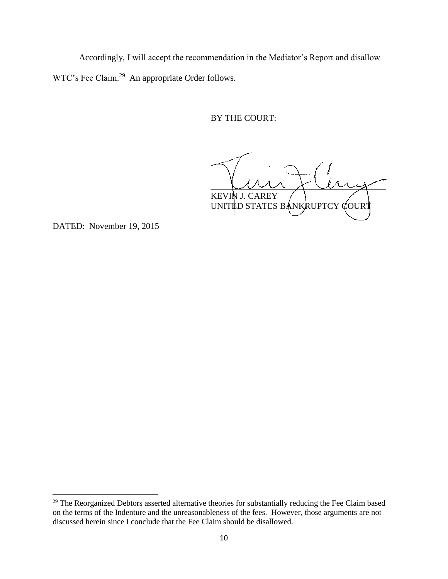Accordingly, I will accept the recommendation in the Mediator's Report and disallow WTC's Fee Claim.<sup>29</sup> An appropriate Order follows.

BY THE COURT:

 $\sim$   $\sim$   $\sim$   $\sim$   $\sim$ KEVIN J. CAREY UNITED STATES BANKRUPTCY COURT

DATED: November 19, 2015

 $\overline{a}$ 

 $29$  The Reorganized Debtors asserted alternative theories for substantially reducing the Fee Claim based on the terms of the Indenture and the unreasonableness of the fees. However, those arguments are not discussed herein since I conclude that the Fee Claim should be disallowed.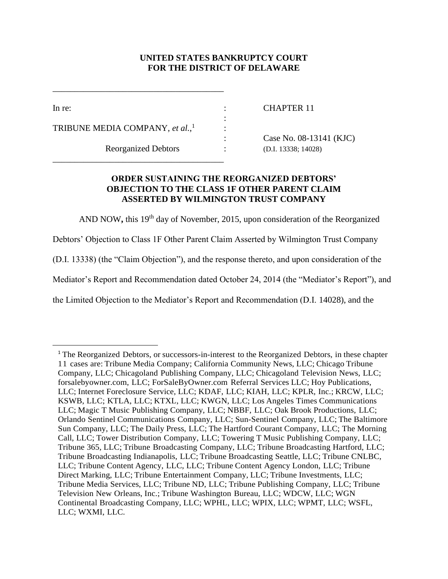## **UNITED STATES BANKRUPTCY COURT FOR THE DISTRICT OF DELAWARE**

:

:

 $\overline{a}$ 

In re: CHAPTER 11

TRIBUNE MEDIA COMPANY, *et al.*, 1

Reorganized Debtors : (D.I. 13338; 14028)

\_\_\_\_\_\_\_\_\_\_\_\_\_\_\_\_\_\_\_\_\_\_\_\_\_\_\_\_\_\_\_\_\_\_\_\_\_\_\_

\_\_\_\_\_\_\_\_\_\_\_\_\_\_\_\_\_\_\_\_\_\_\_\_\_\_\_\_\_\_\_\_\_\_\_\_\_\_\_

: Case No. 08-13141 (KJC)

## **ORDER SUSTAINING THE REORGANIZED DEBTORS' OBJECTION TO THE CLASS 1F OTHER PARENT CLAIM ASSERTED BY WILMINGTON TRUST COMPANY**

AND NOW, this 19<sup>th</sup> day of November, 2015, upon consideration of the Reorganized

Debtors' Objection to Class 1F Other Parent Claim Asserted by Wilmington Trust Company

(D.I. 13338) (the "Claim Objection"), and the response thereto, and upon consideration of the

Mediator's Report and Recommendation dated October 24, 2014 (the "Mediator's Report"), and

the Limited Objection to the Mediator's Report and Recommendation (D.I. 14028), and the

<sup>&</sup>lt;sup>1</sup> The Reorganized Debtors, or successors-in-interest to the Reorganized Debtors, in these chapter 11 cases are: Tribune Media Company; California Community News, LLC; Chicago Tribune Company, LLC; Chicagoland Publishing Company, LLC; Chicagoland Television News, LLC; forsalebyowner.com, LLC; ForSaleByOwner.com Referral Services LLC; Hoy Publications, LLC; Internet Foreclosure Service, LLC; KDAF, LLC; KIAH, LLC; KPLR, Inc.; KRCW, LLC; KSWB, LLC; KTLA, LLC; KTXL, LLC; KWGN, LLC; Los Angeles Times Communications LLC; Magic T Music Publishing Company, LLC; NBBF, LLC; Oak Brook Productions, LLC; Orlando Sentinel Communications Company, LLC; Sun-Sentinel Company, LLC; The Baltimore Sun Company, LLC; The Daily Press, LLC; The Hartford Courant Company, LLC; The Morning Call, LLC; Tower Distribution Company, LLC; Towering T Music Publishing Company, LLC; Tribune 365, LLC; Tribune Broadcasting Company, LLC; Tribune Broadcasting Hartford, LLC; Tribune Broadcasting Indianapolis, LLC; Tribune Broadcasting Seattle, LLC; Tribune CNLBC, LLC; Tribune Content Agency, LLC, LLC; Tribune Content Agency London, LLC; Tribune Direct Marking, LLC; Tribune Entertainment Company, LLC; Tribune Investments, LLC; Tribune Media Services, LLC; Tribune ND, LLC; Tribune Publishing Company, LLC; Tribune Television New Orleans, Inc.; Tribune Washington Bureau, LLC; WDCW, LLC; WGN Continental Broadcasting Company, LLC; WPHL, LLC; WPIX, LLC; WPMT, LLC; WSFL, LLC; WXMI, LLC.